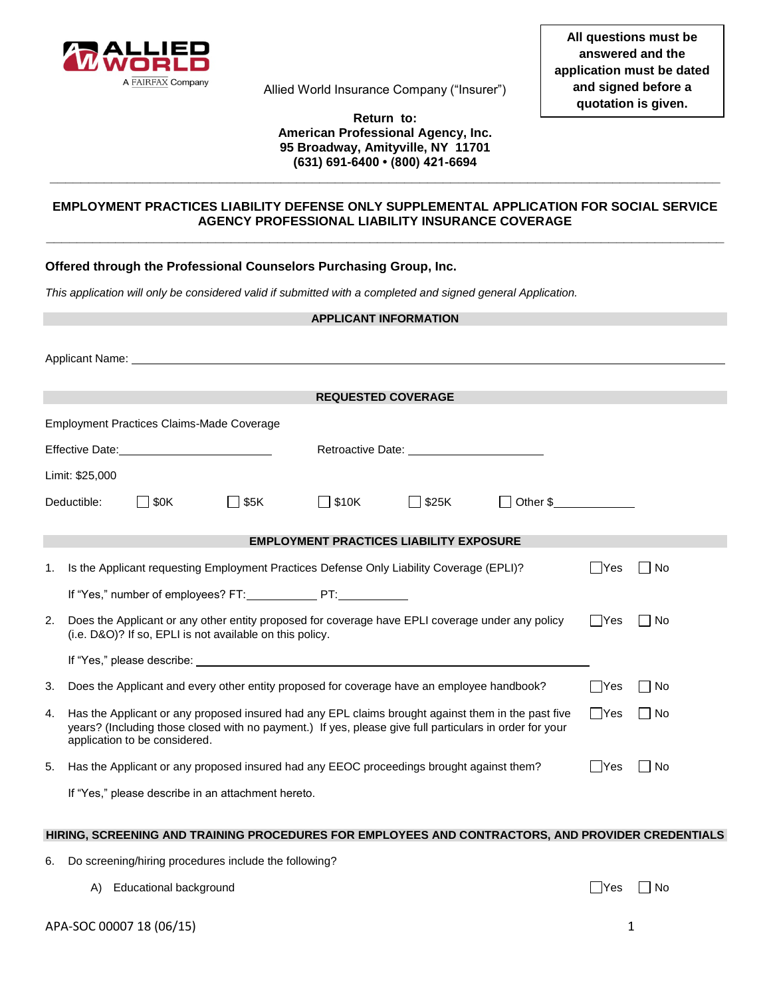

Allied World Insurance Company ("Insurer")

### **Return to: American Professional Agency, Inc. 95 Broadway, Amityville, NY 11701 (631) 691-6400 • (800) 421-6694**

**\_\_\_\_\_\_\_\_\_\_\_\_\_\_\_\_\_\_\_\_\_\_\_\_\_\_\_\_\_\_\_\_\_\_\_\_\_\_\_\_\_\_\_\_\_\_\_\_\_\_\_\_\_\_\_\_\_\_\_\_\_\_\_\_\_\_\_\_\_\_\_\_\_\_\_\_\_\_\_\_\_\_\_\_\_\_\_**

## **EMPLOYMENT PRACTICES LIABILITY DEFENSE ONLY SUPPLEMENTAL APPLICATION FOR SOCIAL SERVICE AGENCY PROFESSIONAL LIABILITY INSURANCE COVERAGE \_\_\_\_\_\_\_\_\_\_\_\_\_\_\_\_\_\_\_\_\_\_\_\_\_\_\_\_\_\_\_\_\_\_\_\_\_\_\_\_\_\_\_\_\_\_\_\_\_\_\_\_\_\_\_\_\_\_\_\_\_\_\_\_\_\_\_\_\_\_\_\_\_\_\_\_\_\_\_\_\_\_\_\_\_\_\_\_**

# **Offered through the Professional Counselors Purchasing Group, Inc.**

*This application will only be considered valid if submitted with a completed and signed general Application.* 

| <b>APPLICANT INFORMATION</b>                   |                                                                                                                                                                                                                                                |                                                                                                                                                                                                                                |                                                                                                                                                              |                           |                                                                                                                                                                                                                                |            |        |           |  |
|------------------------------------------------|------------------------------------------------------------------------------------------------------------------------------------------------------------------------------------------------------------------------------------------------|--------------------------------------------------------------------------------------------------------------------------------------------------------------------------------------------------------------------------------|--------------------------------------------------------------------------------------------------------------------------------------------------------------|---------------------------|--------------------------------------------------------------------------------------------------------------------------------------------------------------------------------------------------------------------------------|------------|--------|-----------|--|
|                                                | Applicant Name: Name: Name and Applicant Name and Applicant Name and Applicant Material Applicant Material Applicant Material Applicant Material Applicant Material Applicant Material Applicant Material Applicant Material A                 |                                                                                                                                                                                                                                |                                                                                                                                                              |                           |                                                                                                                                                                                                                                |            |        |           |  |
|                                                |                                                                                                                                                                                                                                                |                                                                                                                                                                                                                                |                                                                                                                                                              |                           |                                                                                                                                                                                                                                |            |        |           |  |
|                                                |                                                                                                                                                                                                                                                |                                                                                                                                                                                                                                |                                                                                                                                                              | <b>REQUESTED COVERAGE</b> |                                                                                                                                                                                                                                |            |        |           |  |
|                                                | <b>Employment Practices Claims-Made Coverage</b>                                                                                                                                                                                               |                                                                                                                                                                                                                                |                                                                                                                                                              |                           |                                                                                                                                                                                                                                |            |        |           |  |
|                                                |                                                                                                                                                                                                                                                | Effective Date: The contract of the contract of the contract of the contract of the contract of the contract of the contract of the contract of the contract of the contract of the contract of the contract of the contract o |                                                                                                                                                              |                           | Retroactive Date: Network and the set of the set of the set of the set of the set of the set of the set of the set of the set of the set of the set of the set of the set of the set of the set of the set of the set of the s |            |        |           |  |
| Limit: \$25,000                                |                                                                                                                                                                                                                                                |                                                                                                                                                                                                                                |                                                                                                                                                              |                           |                                                                                                                                                                                                                                |            |        |           |  |
|                                                | Deductible:                                                                                                                                                                                                                                    | $\Box$ \$0K                                                                                                                                                                                                                    | □ \$5K                                                                                                                                                       | $\Box$ \$10K              | □ \$25K                                                                                                                                                                                                                        | Other \$   |        |           |  |
| <b>EMPLOYMENT PRACTICES LIABILITY EXPOSURE</b> |                                                                                                                                                                                                                                                |                                                                                                                                                                                                                                |                                                                                                                                                              |                           |                                                                                                                                                                                                                                |            |        |           |  |
| 1.                                             |                                                                                                                                                                                                                                                |                                                                                                                                                                                                                                | Is the Applicant requesting Employment Practices Defense Only Liability Coverage (EPLI)?                                                                     |                           |                                                                                                                                                                                                                                |            | ∣ ∣Yes | <b>No</b> |  |
|                                                |                                                                                                                                                                                                                                                |                                                                                                                                                                                                                                | If "Yes," number of employees? FT: PT: PT:                                                                                                                   |                           |                                                                                                                                                                                                                                |            |        |           |  |
| 2.                                             |                                                                                                                                                                                                                                                |                                                                                                                                                                                                                                | Does the Applicant or any other entity proposed for coverage have EPLI coverage under any policy<br>(i.e. D&O)? If so, EPLI is not available on this policy. |                           |                                                                                                                                                                                                                                |            | □Yes   | l No      |  |
|                                                |                                                                                                                                                                                                                                                |                                                                                                                                                                                                                                |                                                                                                                                                              |                           |                                                                                                                                                                                                                                |            |        |           |  |
| 3.                                             | Does the Applicant and every other entity proposed for coverage have an employee handbook?                                                                                                                                                     |                                                                                                                                                                                                                                |                                                                                                                                                              |                           |                                                                                                                                                                                                                                | l lYes     | l INo  |           |  |
| 4.                                             | Has the Applicant or any proposed insured had any EPL claims brought against them in the past five<br>years? (Including those closed with no payment.) If yes, please give full particulars in order for your<br>application to be considered. |                                                                                                                                                                                                                                |                                                                                                                                                              |                           |                                                                                                                                                                                                                                | $\Box$ Yes | l INo  |           |  |
| 5.                                             |                                                                                                                                                                                                                                                | Has the Applicant or any proposed insured had any EEOC proceedings brought against them?                                                                                                                                       |                                                                                                                                                              |                           |                                                                                                                                                                                                                                | lYes       | l INo  |           |  |
|                                                |                                                                                                                                                                                                                                                |                                                                                                                                                                                                                                | If "Yes," please describe in an attachment hereto.                                                                                                           |                           |                                                                                                                                                                                                                                |            |        |           |  |

#### **HIRING, SCREENING AND TRAINING PROCEDURES FOR EMPLOYEES AND CONTRACTORS, AND PROVIDER CREDENTIALS**

- 6. Do screening/hiring procedures include the following?
	- A) Educational background  $\Box$  Yes  $\Box$  No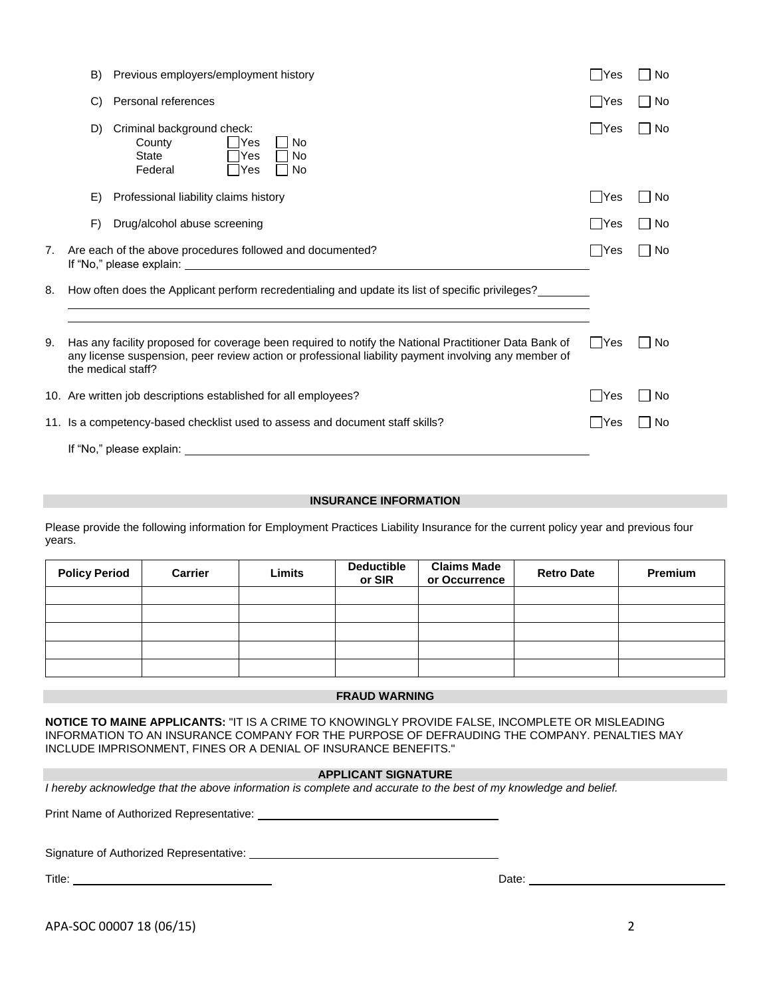|    | B)                                                                                                                                                                                                                                  | Previous employers/employment history                                                                  | - IYes | <b>No</b> |
|----|-------------------------------------------------------------------------------------------------------------------------------------------------------------------------------------------------------------------------------------|--------------------------------------------------------------------------------------------------------|--------|-----------|
|    | $\mathcal{C}$                                                                                                                                                                                                                       | Personal references                                                                                    | l lYes | l No      |
|    | D)                                                                                                                                                                                                                                  | Criminal background check:<br>County<br>Yes<br>No<br><b>State</b><br>No<br>Yes<br>Federal<br>Yes<br>No | ∣Yes   | <b>No</b> |
|    | E)                                                                                                                                                                                                                                  | Professional liability claims history                                                                  | - IYes | No        |
|    | F)                                                                                                                                                                                                                                  | Drug/alcohol abuse screening                                                                           | - IYes | No        |
| 7. | Are each of the above procedures followed and documented?                                                                                                                                                                           |                                                                                                        |        | <b>No</b> |
| 8. |                                                                                                                                                                                                                                     | How often does the Applicant perform recredentialing and update its list of specific privileges?       |        |           |
| 9. | Has any facility proposed for coverage been required to notify the National Practitioner Data Bank of<br>any license suspension, peer review action or professional liability payment involving any member of<br>the medical staff? |                                                                                                        |        | <b>No</b> |
|    |                                                                                                                                                                                                                                     | 10. Are written job descriptions established for all employees?                                        | Yes    | <b>No</b> |
|    |                                                                                                                                                                                                                                     | 11. Is a competency-based checklist used to assess and document staff skills?                          | - IYes | No        |
|    |                                                                                                                                                                                                                                     | If "No," please explain: _                                                                             |        |           |

## **INSURANCE INFORMATION**

Please provide the following information for Employment Practices Liability Insurance for the current policy year and previous four years.

| <b>Policy Period</b> | <b>Carrier</b> | Limits | <b>Deductible</b><br>or SIR | <b>Claims Made</b><br>or Occurrence | <b>Retro Date</b> | Premium |
|----------------------|----------------|--------|-----------------------------|-------------------------------------|-------------------|---------|
|                      |                |        |                             |                                     |                   |         |
|                      |                |        |                             |                                     |                   |         |
|                      |                |        |                             |                                     |                   |         |
|                      |                |        |                             |                                     |                   |         |
|                      |                |        |                             |                                     |                   |         |

#### **FRAUD WARNING**

**NOTICE TO MAINE APPLICANTS:** "IT IS A CRIME TO KNOWINGLY PROVIDE FALSE, INCOMPLETE OR MISLEADING INFORMATION TO AN INSURANCE COMPANY FOR THE PURPOSE OF DEFRAUDING THE COMPANY. PENALTIES MAY INCLUDE IMPRISONMENT, FINES OR A DENIAL OF INSURANCE BENEFITS."

#### **APPLICANT SIGNATURE**

*I hereby acknowledge that the above information is complete and accurate to the best of my knowledge and belief.* 

Print Name of Authorized Representative:

Signature of Authorized Representative:

Title: Date:

APA-SOC 00007 18 (06/15) 2